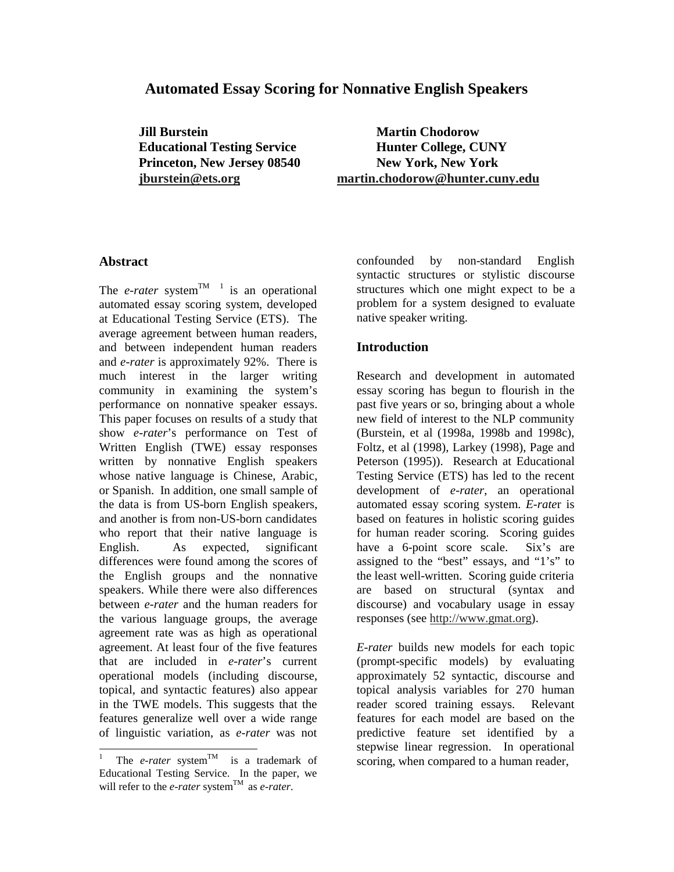## **Automated Essay Scoring for Nonnative English Speakers**

**Jill Burstein Martin Chodorow** 

**Educational Testing Service Hunter College, CUNY Princeton, New Jersey 08540 New York, New York jburstein@ets.org martin.chodorow@hunter.cuny.edu**

#### **Abstract**

The *e-rater* system<sup>TM 1</sup> is an operational automated essay scoring system, developed at Educational Testing Service (ETS). The average agreement between human readers, and between independent human readers and *e-rater* is approximately 92%. There is much interest in the larger writing community in examining the system's performance on nonnative speaker essays. This paper focuses on results of a study that show *e-rater*'s performance on Test of Written English (TWE) essay responses written by nonnative English speakers whose native language is Chinese, Arabic, or Spanish. In addition, one small sample of the data is from US-born English speakers, and another is from non-US-born candidates who report that their native language is English. As expected, significant differences were found among the scores of the English groups and the nonnative speakers. While there were also differences between *e-rater* and the human readers for the various language groups, the average agreement rate was as high as operational agreement. At least four of the five features that are included in *e-rater*'s current operational models (including discourse, topical, and syntactic features) also appear in the TWE models. This suggests that the features generalize well over a wide range of linguistic variation, as *e-rater* was not confounded by non-standard English syntactic structures or stylistic discourse structures which one might expect to be a problem for a system designed to evaluate native speaker writing.

### **Introduction**

Research and development in automated essay scoring has begun to flourish in the past five years or so, bringing about a whole new field of interest to the NLP community (Burstein, et al (1998a, 1998b and 1998c), Foltz, et al (1998), Larkey (1998), Page and Peterson (1995)). Research at Educational Testing Service (ETS) has led to the recent development of *e-rater*, an operational automated essay scoring system. *E-rate*r is based on features in holistic scoring guides for human reader scoring. Scoring guides have a 6-point score scale. Six's are assigned to the "best" essays, and "1's" to the least well-written. Scoring guide criteria are based on structural (syntax and discourse) and vocabulary usage in essay responses (see http://www.gmat.org).

*E-rater* builds new models for each topic (prompt-specific models) by evaluating approximately 52 syntactic, discourse and topical analysis variables for 270 human reader scored training essays. Relevant features for each model are based on the predictive feature set identified by a stepwise linear regression. In operational scoring, when compared to a human reader,

<sup>|&</sup>lt;br>|<br>| The *e-rater* system<sup>TM</sup> is a trademark of Educational Testing Service. In the paper, we will refer to the *e-rater* system<sup>TM</sup> as *e-rater*.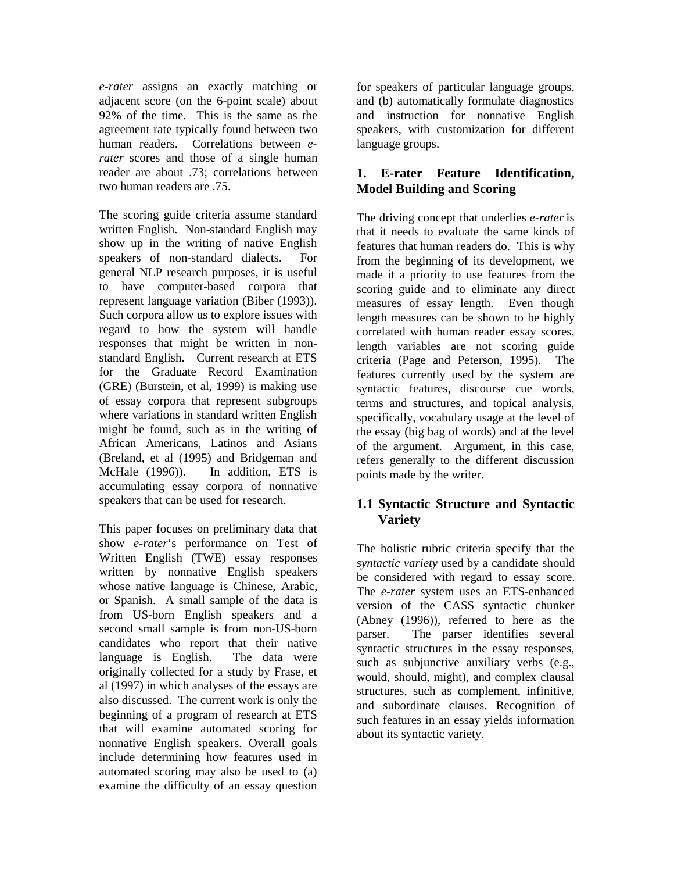*e-rater* assigns an exactly matching or adjacent score (on the 6-point scale) about 92% of the time. This is the same as the agreement rate typically found between two human readers. Correlations between *erater* scores and those of a single human reader are about .73; correlations between two human readers are .75.

The scoring guide criteria assume standard written English. Non-standard English may show up in the writing of native English speakers of non-standard dialects. For general NLP research purposes, it is useful to have computer-based corpora that represent language variation (Biber (1993)). Such corpora allow us to explore issues with regard to how the system will handle responses that might be written in nonstandard English. Current research at ETS for the Graduate Record Examination (GRE) (Burstein, et al, 1999) is making use of essay corpora that represent subgroups where variations in standard written English might be found, such as in the writing of African Americans, Latinos and Asians (Breland, et al (1995) and Bridgeman and McHale (1996)). In addition, ETS is accumulating essay corpora of nonnative speakers that can be used for research.

This paper focuses on preliminary data that show *e-rater*'s performance on Test of Written English (TWE) essay responses written by nonnative English speakers whose native language is Chinese, Arabic, or Spanish. A small sample of the data is from US-born English speakers and a second small sample is from non-US-born candidates who report that their native language is English. The data were originally collected for a study by Frase, et al (1997) in which analyses of the essays are also discussed. The current work is only the beginning of a program of research at ETS that will examine automated scoring for nonnative English speakers. Overall goals include determining how features used in automated scoring may also be used to (a) examine the difficulty of an essay question

for speakers of particular language groups, and (b) automatically formulate diagnostics and instruction for nonnative English speakers, with customization for different language groups.

## **1. E-rater Feature Identification, Model Building and Scoring**

The driving concept that underlies *e-rater* is that it needs to evaluate the same kinds of features that human readers do. This is why from the beginning of its development, we made it a priority to use features from the scoring guide and to eliminate any direct measures of essay length. Even though length measures can be shown to be highly correlated with human reader essay scores, length variables are not scoring guide criteria (Page and Peterson, 1995). The features currently used by the system are syntactic features, discourse cue words, terms and structures, and topical analysis, specifically, vocabulary usage at the level of the essay (big bag of words) and at the level of the argument. Argument, in this case, refers generally to the different discussion points made by the writer.

## **1.1 Syntactic Structure and Syntactic Variety**

The holistic rubric criteria specify that the *syntactic variety* used by a candidate should be considered with regard to essay score. The *e-rater* system uses an ETS-enhanced version of the CASS syntactic chunker (Abney (1996)), referred to here as the parser. The parser identifies several syntactic structures in the essay responses, such as subjunctive auxiliary verbs (e.g., would, should, might), and complex clausal structures, such as complement, infinitive, and subordinate clauses. Recognition of such features in an essay yields information about its syntactic variety.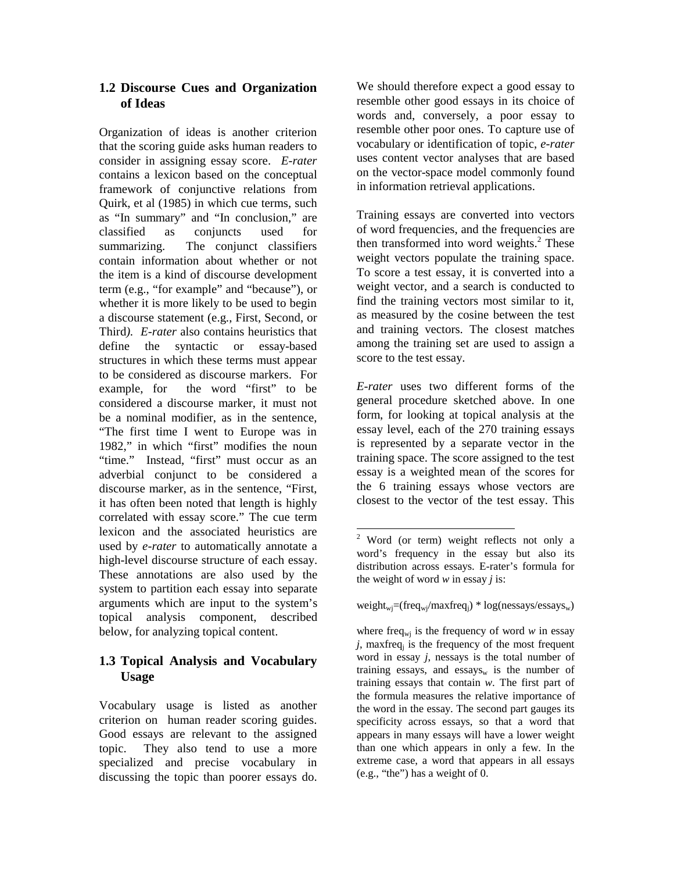## **1.2 Discourse Cues and Organization of Ideas**

Organization of ideas is another criterion that the scoring guide asks human readers to consider in assigning essay score. *E-rater* contains a lexicon based on the conceptual framework of conjunctive relations from Quirk, et al (1985) in which cue terms, such as "In summary" and "In conclusion," are classified as conjuncts used for summarizing. The conjunct classifiers contain information about whether or not the item is a kind of discourse development term (e.g., "for example" and "because"), or whether it is more likely to be used to begin a discourse statement (e.g., First, Second, or Third*). E-rater* also contains heuristics that define the syntactic or essay-based structures in which these terms must appear to be considered as discourse markers. For example, for the word "first" to be considered a discourse marker, it must not be a nominal modifier, as in the sentence, "The first time I went to Europe was in 1982," in which "first" modifies the noun "time." Instead, "first" must occur as an adverbial conjunct to be considered a discourse marker, as in the sentence, "First, it has often been noted that length is highly correlated with essay score." The cue term lexicon and the associated heuristics are used by *e-rater* to automatically annotate a high-level discourse structure of each essay. These annotations are also used by the system to partition each essay into separate arguments which are input to the system's topical analysis component, described below, for analyzing topical content.

# **1.3 Topical Analysis and Vocabulary Usage**

Vocabulary usage is listed as another criterion on human reader scoring guides. Good essays are relevant to the assigned topic. They also tend to use a more specialized and precise vocabulary in discussing the topic than poorer essays do.

We should therefore expect a good essay to resemble other good essays in its choice of words and, conversely, a poor essay to resemble other poor ones. To capture use of vocabulary or identification of topic, *e-rater* uses content vector analyses that are based on the vector-space model commonly found in information retrieval applications.

Training essays are converted into vectors of word frequencies, and the frequencies are then transformed into word weights. $2$  These weight vectors populate the training space. To score a test essay, it is converted into a weight vector, and a search is conducted to find the training vectors most similar to it, as measured by the cosine between the test and training vectors. The closest matches among the training set are used to assign a score to the test essay.

*E-rater* uses two different forms of the general procedure sketched above. In one form, for looking at topical analysis at the essay level, each of the 270 training essays is represented by a separate vector in the training space. The score assigned to the test essay is a weighted mean of the scores for the 6 training essays whose vectors are closest to the vector of the test essay. This

weight<sub>wj</sub>=(freq<sub>wj</sub>/maxfreq<sub>i</sub>) \* log(nessays/essays<sub>w</sub>)

<sup>&</sup>lt;sup>2</sup> Word (or term) weight reflects not only a word's frequency in the essay but also its distribution across essays. E-rater's formula for the weight of word *w* in essay *j* is:

where freq<sub>wj</sub> is the frequency of word  $w$  in essay  $\dot{j}$ , maxfreq<sub>i</sub> is the frequency of the most frequent word in essay *j*, nessays is the total number of training essays, and essays $_{w}$  is the number of training essays that contain *w*. The first part of the formula measures the relative importance of the word in the essay. The second part gauges its specificity across essays, so that a word that appears in many essays will have a lower weight than one which appears in only a few. In the extreme case, a word that appears in all essays (e.g., "the") has a weight of 0.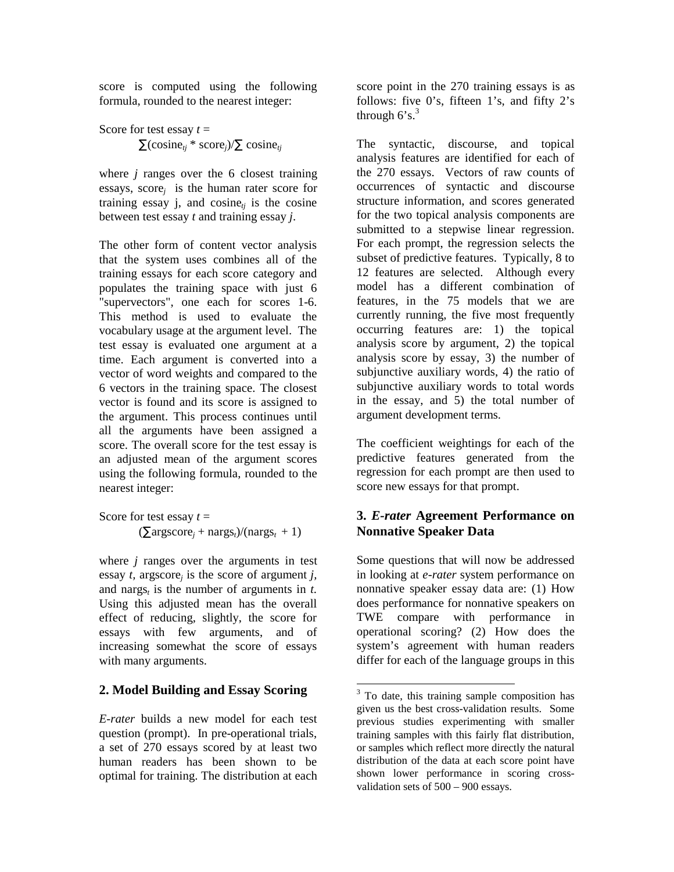score is computed using the following formula, rounded to the nearest integer:

Score for test essay  $t =$  $\sum$ (cosine<sub>ti</sub> \* score<sub>i</sub>)/ $\sum$  cosine<sub>ti</sub>

where *j* ranges over the 6 closest training essays, score*j* is the human rater score for training essay  $i$ , and cosine<sub>ti</sub> is the cosine between test essay *t* and training essay *j*.

The other form of content vector analysis that the system uses combines all of the training essays for each score category and populates the training space with just 6 "supervectors", one each for scores 1-6. This method is used to evaluate the vocabulary usage at the argument level. The test essay is evaluated one argument at a time. Each argument is converted into a vector of word weights and compared to the 6 vectors in the training space. The closest vector is found and its score is assigned to the argument. This process continues until all the arguments have been assigned a score. The overall score for the test essay is an adjusted mean of the argument scores using the following formula, rounded to the nearest integer:

Score for test essay  $t =$  $(\sum \text{argscore}_i + \text{nargs}_t)/(\text{nargs}_t + 1)$ 

where *j* ranges over the arguments in test essay *t,* argscore*j* is the score of argument *j,* and nargs<sub>t</sub> is the number of arguments in  $t$ . Using this adjusted mean has the overall effect of reducing, slightly, the score for essays with few arguments, and of increasing somewhat the score of essays with many arguments.

## **2. Model Building and Essay Scoring**

*E-rater* builds a new model for each test question (prompt). In pre-operational trials, a set of 270 essays scored by at least two human readers has been shown to be optimal for training. The distribution at each score point in the 270 training essays is as follows: five 0's, fifteen 1's, and fifty  $2's$ through  $6's$ .<sup>3</sup>

The syntactic, discourse, and topical analysis features are identified for each of the 270 essays. Vectors of raw counts of occurrences of syntactic and discourse structure information, and scores generated for the two topical analysis components are submitted to a stepwise linear regression. For each prompt, the regression selects the subset of predictive features. Typically, 8 to 12 features are selected. Although every model has a different combination of features, in the 75 models that we are currently running, the five most frequently occurring features are: 1) the topical analysis score by argument, 2) the topical analysis score by essay, 3) the number of subjunctive auxiliary words, 4) the ratio of subjunctive auxiliary words to total words in the essay, and 5) the total number of argument development terms.

The coefficient weightings for each of the predictive features generated from the regression for each prompt are then used to score new essays for that prompt.

## **3.** *E-rater* **Agreement Performance on Nonnative Speaker Data**

Some questions that will now be addressed in looking at *e-rater* system performance on nonnative speaker essay data are: (1) How does performance for nonnative speakers on TWE compare with performance in operational scoring? (2) How does the system's agreement with human readers differ for each of the language groups in this

<sup>&</sup>lt;sup>3</sup> To date, this training sample composition has given us the best cross-validation results. Some previous studies experimenting with smaller training samples with this fairly flat distribution, or samples which reflect more directly the natural distribution of the data at each score point have shown lower performance in scoring crossvalidation sets of 500 – 900 essays.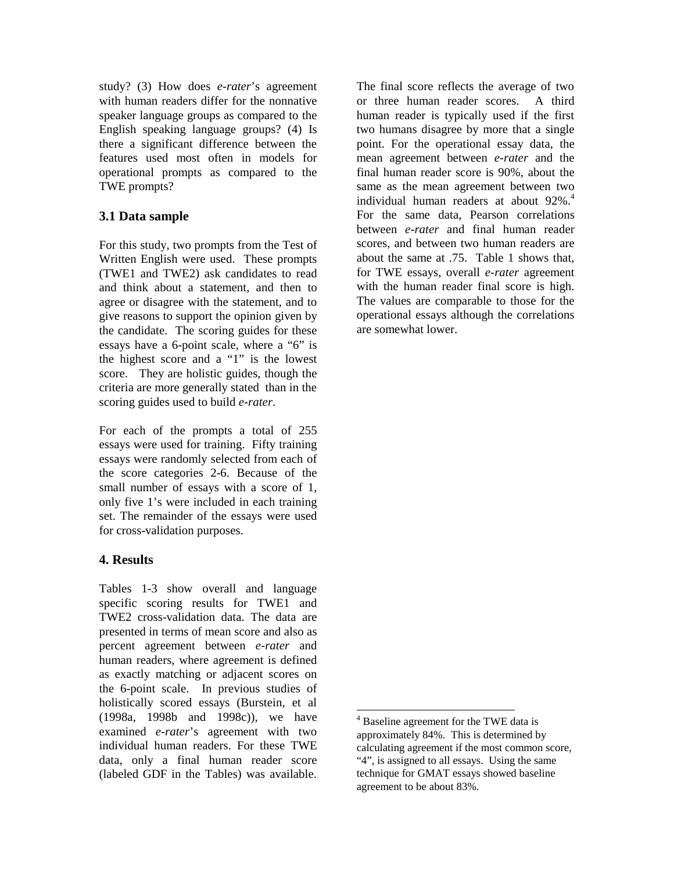study? (3) How does *e-rater*'s agreement with human readers differ for the nonnative speaker language groups as compared to the English speaking language groups? (4) Is there a significant difference between the features used most often in models for operational prompts as compared to the TWE prompts?

### **3.1 Data sample**

For this study, two prompts from the Test of Written English were used. These prompts (TWE1 and TWE2) ask candidates to read and think about a statement, and then to agree or disagree with the statement, and to give reasons to support the opinion given by the candidate. The scoring guides for these essays have a 6-point scale, where a "6" is the highest score and a "1" is the lowest score. They are holistic guides, though the criteria are more generally stated than in the scoring guides used to build *e-rater*.

For each of the prompts a total of 255 essays were used for training. Fifty training essays were randomly selected from each of the score categories 2-6. Because of the small number of essays with a score of 1, only five 1's were included in each training set. The remainder of the essays were used for cross-validation purposes.

### **4. Results**

Tables 1-3 show overall and language specific scoring results for TWE1 and TWE2 cross-validation data. The data are presented in terms of mean score and also as percent agreement between *e-rater* and human readers, where agreement is defined as exactly matching or adjacent scores on the 6-point scale. In previous studies of holistically scored essays (Burstein, et al (1998a, 1998b and 1998c)), we have examined *e-rater*'s agreement with two individual human readers. For these TWE data, only a final human reader score (labeled GDF in the Tables) was available.

The final score reflects the average of two or three human reader scores. A third human reader is typically used if the first two humans disagree by more that a single point. For the operational essay data, the mean agreement between *e-rater* and the final human reader score is 90%, about the same as the mean agreement between two individual human readers at about  $92\%$ <sup>4</sup> For the same data, Pearson correlations between *e-rater* and final human reader scores, and between two human readers are about the same at .75. Table 1 shows that, for TWE essays, overall *e-rater* agreement with the human reader final score is high. The values are comparable to those for the operational essays although the correlations are somewhat lower.

 4 Baseline agreement for the TWE data is approximately 84%. This is determined by calculating agreement if the most common score, "4", is assigned to all essays. Using the same technique for GMAT essays showed baseline agreement to be about 83%.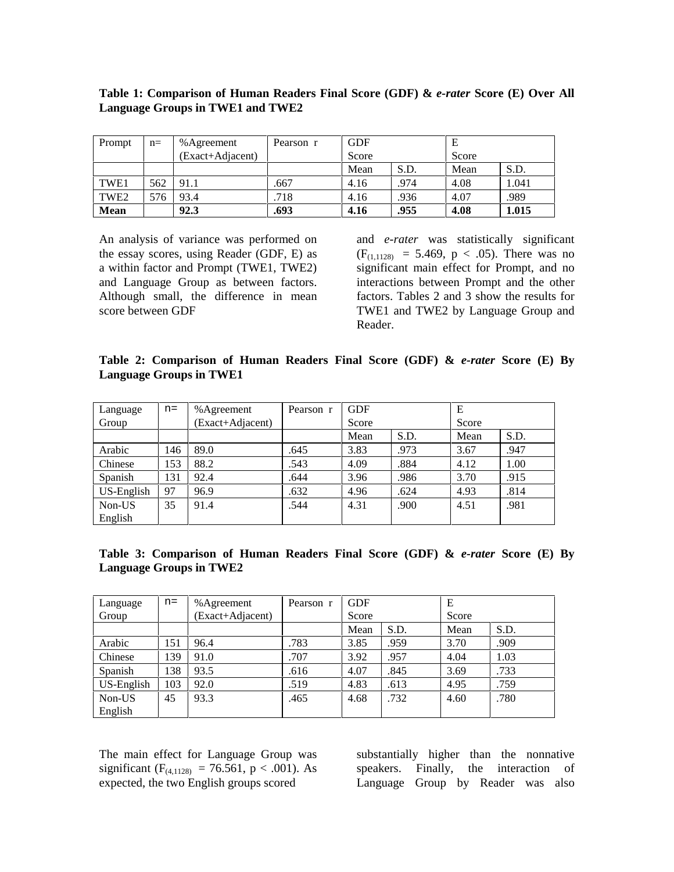| Prompt           | $n=$ | % Agreement      | Pearson r | <b>GDF</b> |      | Е     |       |  |
|------------------|------|------------------|-----------|------------|------|-------|-------|--|
|                  |      | (Exact+Adjacent) |           | Score      |      | Score |       |  |
|                  |      |                  |           | Mean       | S.D. | Mean  | S.D.  |  |
| TWE1             | 562  | 91.1             | .667      | 4.16       | .974 | 4.08  | 1.041 |  |
| TWE <sub>2</sub> | 576  | 93.4             | .718      | 4.16       | .936 | 4.07  | .989  |  |
| Mean             |      | 92.3             | .693      | 4.16       | .955 | 4.08  | 1.015 |  |

#### **Table 1: Comparison of Human Readers Final Score (GDF) &** *e-rater* **Score (E) Over All Language Groups in TWE1 and TWE2**

An analysis of variance was performed on the essay scores, using Reader (GDF, E) as a within factor and Prompt (TWE1, TWE2) and Language Group as between factors. Although small, the difference in mean score between GDF

and *e-rater* was statistically significant  $(F<sub>(1,1128)</sub> = 5.469, p < .05)$ . There was no significant main effect for Prompt, and no interactions between Prompt and the other factors. Tables 2 and 3 show the results for TWE1 and TWE2 by Language Group and Reader.

### **Table 2: Comparison of Human Readers Final Score (GDF) &** *e-rater* **Score (E) By Language Groups in TWE1**

| Language   | $n=$ | % Agreement     | Pearson r | <b>GDF</b> |      | Е     |      |  |
|------------|------|-----------------|-----------|------------|------|-------|------|--|
| Group      |      | Exact+Adjacent) |           | Score      |      | Score |      |  |
|            |      |                 |           | Mean       | S.D. | Mean  | S.D. |  |
| Arabic     | 146  | 89.0            | .645      | 3.83       | .973 | 3.67  | .947 |  |
| Chinese    | 153  | 88.2            | .543      | 4.09       | .884 | 4.12  | 1.00 |  |
| Spanish    | 131  | 92.4            | .644      | 3.96       | .986 | 3.70  | .915 |  |
| US-English | 97   | 96.9            | .632      | 4.96       | .624 | 4.93  | .814 |  |
| Non-US     | 35   | 91.4            | .544      | 4.31       | .900 | 4.51  | .981 |  |
| English    |      |                 |           |            |      |       |      |  |

| Table 3: Comparison of Human Readers Final Score (GDF) & e-rater Score (E) By |  |  |  |  |  |  |
|-------------------------------------------------------------------------------|--|--|--|--|--|--|
| <b>Language Groups in TWE2</b>                                                |  |  |  |  |  |  |

| Language   | $n=$ | % Agreement      | Pearson r | <b>GDF</b> |      | E     |      |
|------------|------|------------------|-----------|------------|------|-------|------|
| Group      |      | (Exact+Adjacent) |           | Score      |      | Score |      |
|            |      |                  |           | Mean       | S.D. | Mean  | S.D. |
| Arabic     | 151  | 96.4             | .783      | 3.85       | .959 | 3.70  | .909 |
| Chinese    | 139  | 91.0             | .707      | 3.92       | .957 | 4.04  | 1.03 |
| Spanish    | 138  | 93.5             | .616      | 4.07       | .845 | 3.69  | .733 |
| US-English | 103  | 92.0             | .519      | 4.83       | .613 | 4.95  | .759 |
| Non-US     | 45   | 93.3             | .465      | 4.68       | .732 | 4.60  | .780 |
| English    |      |                  |           |            |      |       |      |

The main effect for Language Group was significant ( $F_{(4,1128)} = 76.561$ , p < .001). As expected, the two English groups scored

substantially higher than the nonnative speakers. Finally, the interaction of Language Group by Reader was also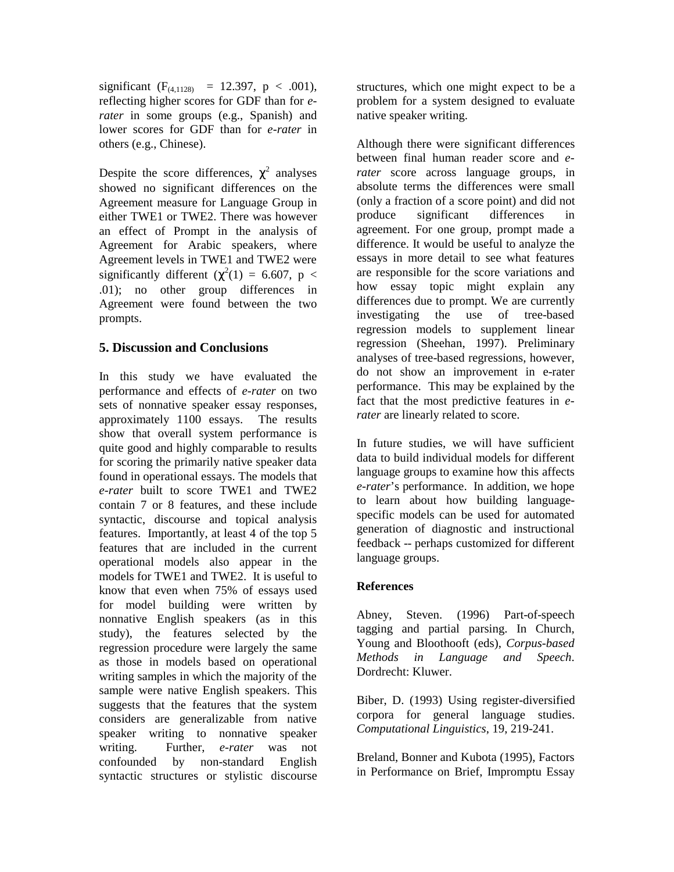significant  $(F_{(4,1128)} = 12.397, p < .001)$ , reflecting higher scores for GDF than for *erater* in some groups (e.g., Spanish) and lower scores for GDF than for *e-rater* in others (e.g., Chinese).

Despite the score differences,  $\chi^2$  analyses showed no significant differences on the Agreement measure for Language Group in either TWE1 or TWE2. There was however an effect of Prompt in the analysis of Agreement for Arabic speakers, where Agreement levels in TWE1 and TWE2 were significantly different  $(\chi^2(1) = 6.607, p <$ .01); no other group differences in Agreement were found between the two prompts.

#### **5. Discussion and Conclusions**

In this study we have evaluated the performance and effects of *e-rater* on two sets of nonnative speaker essay responses, approximately 1100 essays. The results show that overall system performance is quite good and highly comparable to results for scoring the primarily native speaker data found in operational essays. The models that *e-rater* built to score TWE1 and TWE2 contain 7 or 8 features, and these include syntactic, discourse and topical analysis features. Importantly, at least 4 of the top 5 features that are included in the current operational models also appear in the models for TWE1 and TWE2. It is useful to know that even when 75% of essays used for model building were written by nonnative English speakers (as in this study), the features selected by the regression procedure were largely the same as those in models based on operational writing samples in which the majority of the sample were native English speakers. This suggests that the features that the system considers are generalizable from native speaker writing to nonnative speaker writing. Further, *e-rater* was not confounded by non-standard English syntactic structures or stylistic discourse

structures, which one might expect to be a problem for a system designed to evaluate native speaker writing.

Although there were significant differences between final human reader score and *erater* score across language groups, in absolute terms the differences were small (only a fraction of a score point) and did not produce significant differences in agreement. For one group, prompt made a difference. It would be useful to analyze the essays in more detail to see what features are responsible for the score variations and how essay topic might explain any differences due to prompt. We are currently investigating the use of tree-based regression models to supplement linear regression (Sheehan, 1997). Preliminary analyses of tree-based regressions, however, do not show an improvement in e-rater performance. This may be explained by the fact that the most predictive features in *erater* are linearly related to score.

In future studies, we will have sufficient data to build individual models for different language groups to examine how this affects *e-rater*'s performance. In addition, we hope to learn about how building languagespecific models can be used for automated generation of diagnostic and instructional feedback -- perhaps customized for different language groups.

#### **References**

Abney, Steven. (1996) Part-of-speech tagging and partial parsing. In Church, Young and Bloothooft (eds), *Corpus-based Methods in Language and Speech*. Dordrecht: Kluwer.

Biber, D. (1993) Using register-diversified corpora for general language studies. *Computational Linguistics*, 19, 219-241.

Breland, Bonner and Kubota (1995), Factors in Performance on Brief, Impromptu Essay